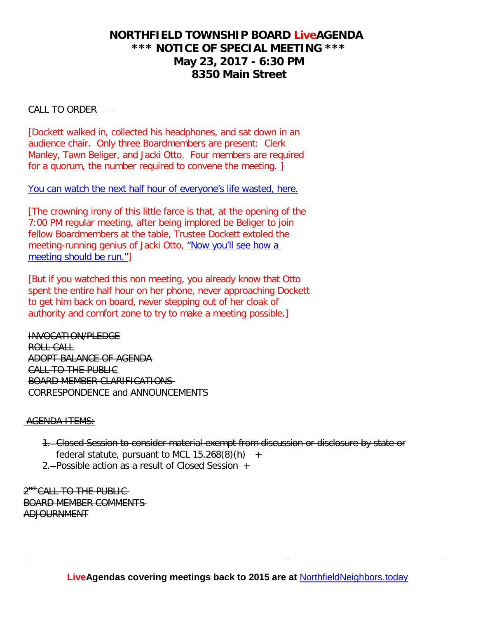## **NORTHFIELD TOWNSHIP BOARD LiveAGENDA \*\*\* NOTICE OF SPECIAL MEETING \*\*\* May 23, 2017 - 6:30 PM 8350 Main Street**

#### CALL TO ORDER

[Dockett walked in, collected his headphones, and sat down in an audience chair. Only three Boardmembers are present: Clerk Manley, Tawn Beliger, and Jacki Otto. Four members are required for a quorum, the number required to convene the meeting. ]

#### [You can watch the next half hour of everyone's life wasted, here.](https://www.youtube.com/watch?v=BmNW7zGa5EA&t=0m01s)

[The crowning irony of this little farce is that, at the opening of the 7:00 PM regular meeting, after being implored be Beliger to join fellow Boardmembers at the table, Trustee Dockett extoled the meeting-running genius of Jacki Otto, ["Now you'll see how a](https://www.youtube.com/watch?v=9pVCte9Ff5Y&t=5m41s)  [meeting should be run."\]](https://www.youtube.com/watch?v=9pVCte9Ff5Y&t=5m41s)

[But if you watched this non meeting, you already know that Otto spent the entire half hour on her phone, never approaching Dockett to get him back on board, never stepping out of her cloak of authority and comfort zone to try to make a meeting possible.]

INVOCATION/PLEDGE ROLL CALL ADOPT BALANCE OF AGENDA CALL TO THE PUBLIC BOARD MEMBER CLARIFICATIONS CORRESPONDENCE and ANNOUNCEMENTS

#### AGENDA ITEMS:

- 1. Closed Session to consider material exempt from discussion or disclosure by state or federal statute, pursuant to MCL 15.268(8)(h)
- 2. Possible action as a result of Closed Session +

2<sup>nd</sup> CALL TO THE PUBLIC-BOARD MEMBER COMMENTS ADJOURNMENT